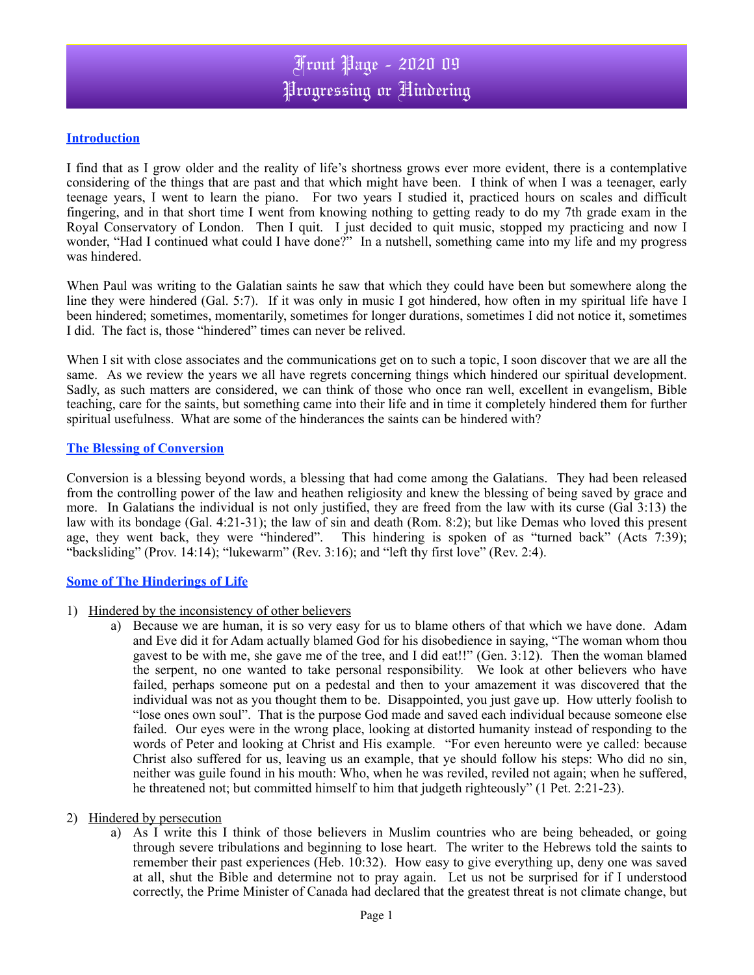## **Introduction**

I find that as I grow older and the reality of life's shortness grows ever more evident, there is a contemplative considering of the things that are past and that which might have been. I think of when I was a teenager, early teenage years, I went to learn the piano. For two years I studied it, practiced hours on scales and difficult fingering, and in that short time I went from knowing nothing to getting ready to do my 7th grade exam in the Royal Conservatory of London. Then I quit. I just decided to quit music, stopped my practicing and now I wonder, "Had I continued what could I have done?" In a nutshell, something came into my life and my progress was hindered.

When Paul was writing to the Galatian saints he saw that which they could have been but somewhere along the line they were hindered (Gal. 5:7). If it was only in music I got hindered, how often in my spiritual life have I been hindered; sometimes, momentarily, sometimes for longer durations, sometimes I did not notice it, sometimes I did. The fact is, those "hindered" times can never be relived.

When I sit with close associates and the communications get on to such a topic, I soon discover that we are all the same. As we review the years we all have regrets concerning things which hindered our spiritual development. Sadly, as such matters are considered, we can think of those who once ran well, excellent in evangelism, Bible teaching, care for the saints, but something came into their life and in time it completely hindered them for further spiritual usefulness. What are some of the hinderances the saints can be hindered with?

### **The Blessing of Conversion**

Conversion is a blessing beyond words, a blessing that had come among the Galatians. They had been released from the controlling power of the law and heathen religiosity and knew the blessing of being saved by grace and more. In Galatians the individual is not only justified, they are freed from the law with its curse (Gal 3:13) the law with its bondage (Gal. 4:21-31); the law of sin and death (Rom. 8:2); but like Demas who loved this present age, they went back, they were "hindered". This hindering is spoken of as "turned back" (Acts 7:39); "backsliding" (Prov. 14:14); "lukewarm" (Rev. 3:16); and "left thy first love" (Rev. 2:4).

### **Some of The Hinderings of Life**

- 1) Hindered by the inconsistency of other believers
	- a) Because we are human, it is so very easy for us to blame others of that which we have done. Adam and Eve did it for Adam actually blamed God for his disobedience in saying, "The woman whom thou gavest to be with me, she gave me of the tree, and I did eat!!" (Gen. 3:12).Then the woman blamed the serpent, no one wanted to take personal responsibility. We look at other believers who have failed, perhaps someone put on a pedestal and then to your amazement it was discovered that the individual was not as you thought them to be. Disappointed, you just gave up. How utterly foolish to "lose ones own soul". That is the purpose God made and saved each individual because someone else failed. Our eyes were in the wrong place, looking at distorted humanity instead of responding to the words of Peter and looking at Christ and His example. "For even hereunto were ye called: because Christ also suffered for us, leaving us an example, that ye should follow his steps: Who did no sin, neither was guile found in his mouth: Who, when he was reviled, reviled not again; when he suffered, he threatened not; but committed himself to him that judgeth righteously" (1 Pet. 2:21-23).

### 2) Hindered by persecution

a) As I write this I think of those believers in Muslim countries who are being beheaded, or going through severe tribulations and beginning to lose heart. The writer to the Hebrews told the saints to remember their past experiences (Heb. 10:32). How easy to give everything up, deny one was saved at all, shut the Bible and determine not to pray again. Let us not be surprised for if I understood correctly, the Prime Minister of Canada had declared that the greatest threat is not climate change, but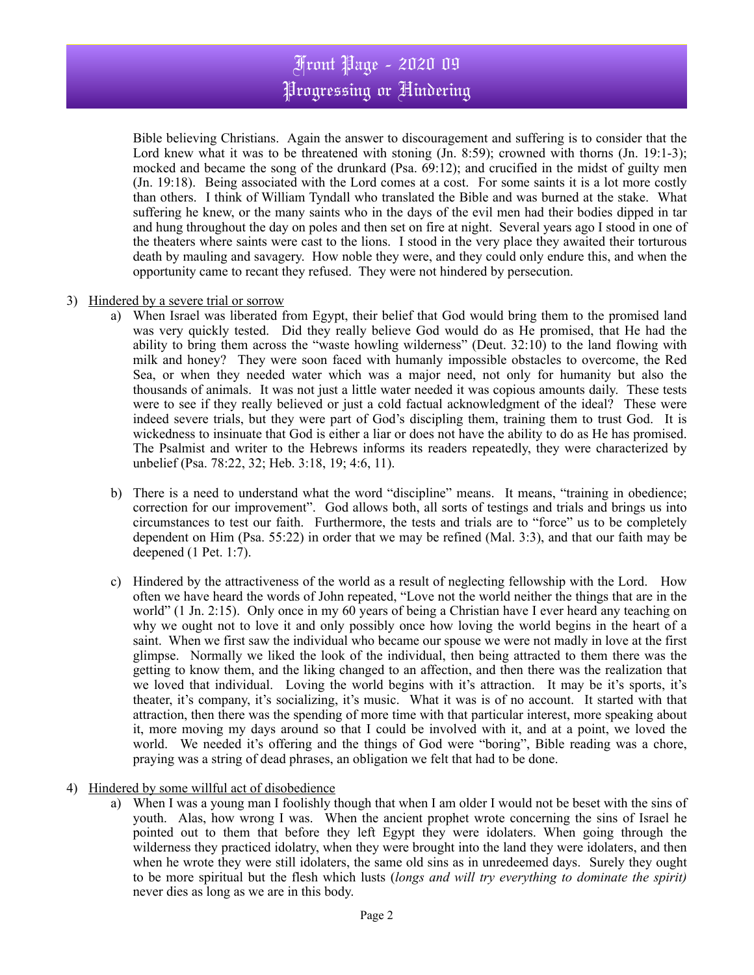# Front Page - 2020 09 Progressing or Hindering

Bible believing Christians. Again the answer to discouragement and suffering is to consider that the Lord knew what it was to be threatened with stoning (Jn. 8:59); crowned with thorns (Jn. 19:1-3); mocked and became the song of the drunkard (Psa. 69:12); and crucified in the midst of guilty men (Jn. 19:18). Being associated with the Lord comes at a cost. For some saints it is a lot more costly than others. I think of William Tyndall who translated the Bible and was burned at the stake. What suffering he knew, or the many saints who in the days of the evil men had their bodies dipped in tar and hung throughout the day on poles and then set on fire at night. Several years ago I stood in one of the theaters where saints were cast to the lions. I stood in the very place they awaited their torturous death by mauling and savagery. How noble they were, and they could only endure this, and when the opportunity came to recant they refused. They were not hindered by persecution.

- 3) Hindered by a severe trial or sorrow
	- a) When Israel was liberated from Egypt, their belief that God would bring them to the promised land was very quickly tested. Did they really believe God would do as He promised, that He had the ability to bring them across the "waste howling wilderness" (Deut. 32:10) to the land flowing with milk and honey? They were soon faced with humanly impossible obstacles to overcome, the Red Sea, or when they needed water which was a major need, not only for humanity but also the thousands of animals. It was not just a little water needed it was copious amounts daily. These tests were to see if they really believed or just a cold factual acknowledgment of the ideal? These were indeed severe trials, but they were part of God's discipling them, training them to trust God. It is wickedness to insinuate that God is either a liar or does not have the ability to do as He has promised. The Psalmist and writer to the Hebrews informs its readers repeatedly, they were characterized by unbelief (Psa. 78:22, 32; Heb. 3:18, 19; 4:6, 11).
	- b) There is a need to understand what the word "discipline" means. It means, "training in obedience; correction for our improvement". God allows both, all sorts of testings and trials and brings us into circumstances to test our faith. Furthermore, the tests and trials are to "force" us to be completely dependent on Him (Psa. 55:22) in order that we may be refined (Mal. 3:3), and that our faith may be deepened (1 Pet. 1:7).
	- c) Hindered by the attractiveness of the world as a result of neglecting fellowship with the Lord. How often we have heard the words of John repeated, "Love not the world neither the things that are in the world" (1 Jn. 2:15). Only once in my 60 years of being a Christian have I ever heard any teaching on why we ought not to love it and only possibly once how loving the world begins in the heart of a saint. When we first saw the individual who became our spouse we were not madly in love at the first glimpse. Normally we liked the look of the individual, then being attracted to them there was the getting to know them, and the liking changed to an affection, and then there was the realization that we loved that individual. Loving the world begins with it's attraction. It may be it's sports, it's theater, it's company, it's socializing, it's music. What it was is of no account. It started with that attraction, then there was the spending of more time with that particular interest, more speaking about it, more moving my days around so that I could be involved with it, and at a point, we loved the world. We needed it's offering and the things of God were "boring", Bible reading was a chore, praying was a string of dead phrases, an obligation we felt that had to be done.
- 4) Hindered by some willful act of disobedience
	- a) When I was a young man I foolishly though that when I am older I would not be beset with the sins of youth. Alas, how wrong I was. When the ancient prophet wrote concerning the sins of Israel he pointed out to them that before they left Egypt they were idolaters. When going through the wilderness they practiced idolatry, when they were brought into the land they were idolaters, and then when he wrote they were still idolaters, the same old sins as in unredeemed days. Surely they ought to be more spiritual but the flesh which lusts (*longs and will try everything to dominate the spirit)* never dies as long as we are in this body.